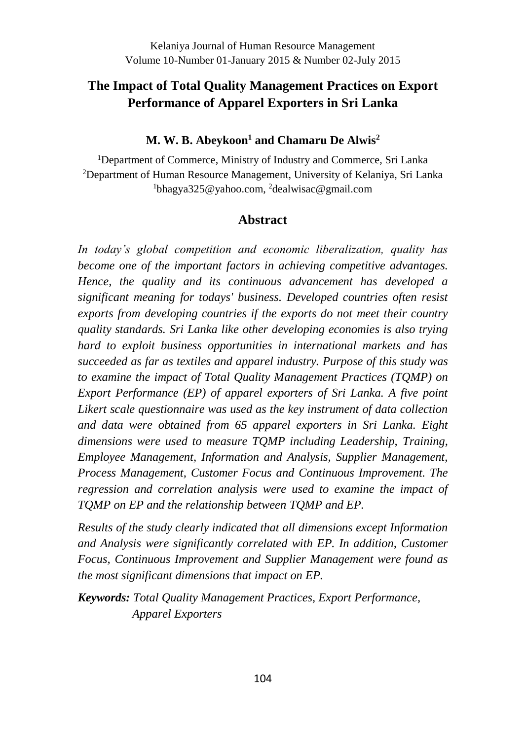# **The Impact of Total Quality Management Practices on Export Performance of Apparel Exporters in Sri Lanka**

#### **M. W. B. Abeykoon<sup>1</sup> and Chamaru De Alwis<sup>2</sup>**

<sup>1</sup>Department of Commerce, Ministry of Industry and Commerce, Sri Lanka <sup>2</sup>Department of Human Resource Management, University of Kelaniya, Sri Lanka <sup>1</sup>bhagya325@yahoo.com, <sup>2</sup>dealwisac@gmail.com

### **Abstract**

*In today's global competition and economic liberalization, quality has become one of the important factors in achieving competitive advantages. Hence, the quality and its continuous advancement has developed a significant meaning for todays' business. Developed countries often resist exports from developing countries if the exports do not meet their country quality standards. Sri Lanka like other developing economies is also trying hard to exploit business opportunities in international markets and has succeeded as far as textiles and apparel industry. Purpose of this study was to examine the impact of Total Quality Management Practices (TQMP) on Export Performance (EP) of apparel exporters of Sri Lanka. A five point Likert scale questionnaire was used as the key instrument of data collection and data were obtained from 65 apparel exporters in Sri Lanka. Eight dimensions were used to measure TQMP including Leadership, Training, Employee Management, Information and Analysis, Supplier Management, Process Management, Customer Focus and Continuous Improvement. The regression and correlation analysis were used to examine the impact of TQMP on EP and the relationship between TQMP and EP.* 

*Results of the study clearly indicated that all dimensions except Information and Analysis were significantly correlated with EP. In addition, Customer Focus, Continuous Improvement and Supplier Management were found as the most significant dimensions that impact on EP.*

*Keywords: Total Quality Management Practices, Export Performance, Apparel Exporters*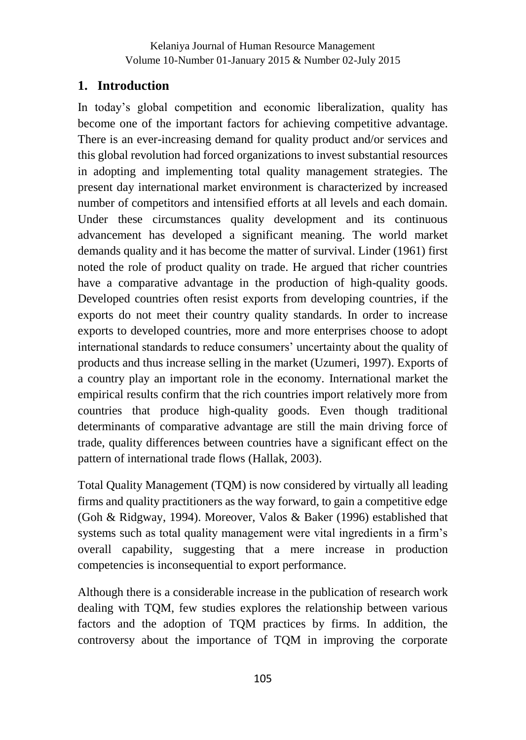#### **1. Introduction**

In today's global competition and economic liberalization, quality has become one of the important factors for achieving competitive advantage. There is an ever-increasing demand for quality product and/or services and this global revolution had forced organizations to invest substantial resources in adopting and implementing total quality management strategies. The present day international market environment is characterized by increased number of competitors and intensified efforts at all levels and each domain. Under these circumstances quality development and its continuous advancement has developed a significant meaning. The world market demands quality and it has become the matter of survival. Linder (1961) first noted the role of product quality on trade. He argued that richer countries have a comparative advantage in the production of high-quality goods. Developed countries often resist exports from developing countries, if the exports do not meet their country quality standards. In order to increase exports to developed countries, more and more enterprises choose to adopt international standards to reduce consumers' uncertainty about the quality of products and thus increase selling in the market (Uzumeri, 1997). Exports of a country play an important role in the economy. International market the empirical results confirm that the rich countries import relatively more from countries that produce high-quality goods. Even though traditional determinants of comparative advantage are still the main driving force of trade, quality differences between countries have a significant effect on the pattern of international trade flows (Hallak, 2003).

Total Quality Management (TQM) is now considered by virtually all leading firms and quality practitioners as the way forward, to gain a competitive edge (Goh & Ridgway, 1994). Moreover, Valos & Baker (1996) established that systems such as total quality management were vital ingredients in a firm's overall capability, suggesting that a mere increase in production competencies is inconsequential to export performance.

Although there is a considerable increase in the publication of research work dealing with TQM, few studies explores the relationship between various factors and the adoption of TQM practices by firms. In addition, the controversy about the importance of TQM in improving the corporate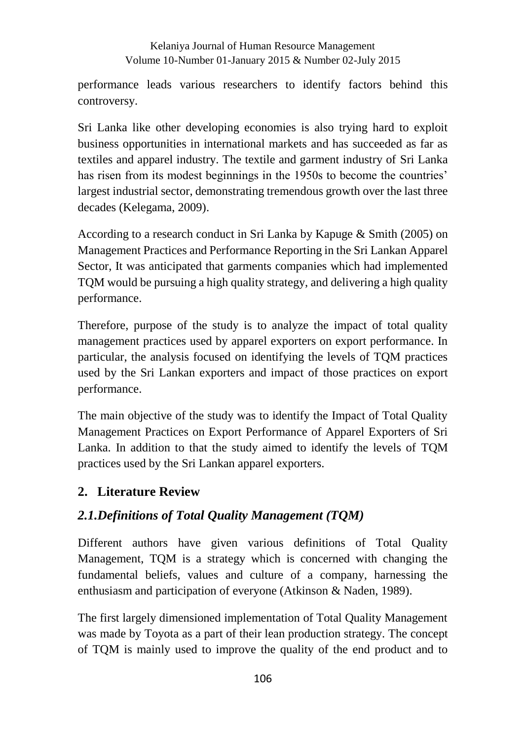performance leads various researchers to identify factors behind this controversy.

Sri Lanka like other developing economies is also trying hard to exploit business opportunities in international markets and has succeeded as far as textiles and apparel industry. The textile and garment industry of Sri Lanka has risen from its modest beginnings in the 1950s to become the countries' largest industrial sector, demonstrating tremendous growth over the last three decades (Kelegama, 2009).

According to a research conduct in Sri Lanka by Kapuge & Smith (2005) on Management Practices and Performance Reporting in the Sri Lankan Apparel Sector, It was anticipated that garments companies which had implemented TQM would be pursuing a high quality strategy, and delivering a high quality performance.

Therefore, purpose of the study is to analyze the impact of total quality management practices used by apparel exporters on export performance. In particular, the analysis focused on identifying the levels of TQM practices used by the Sri Lankan exporters and impact of those practices on export performance.

The main objective of the study was to identify the Impact of Total Quality Management Practices on Export Performance of Apparel Exporters of Sri Lanka. In addition to that the study aimed to identify the levels of TQM practices used by the Sri Lankan apparel exporters.

### **2. Literature Review**

### *2.1.Definitions of Total Quality Management (TQM)*

Different authors have given various definitions of Total Quality Management, TQM is a strategy which is concerned with changing the fundamental beliefs, values and culture of a company, harnessing the enthusiasm and participation of everyone (Atkinson & Naden, 1989).

The first largely dimensioned implementation of Total Quality Management was made by Toyota as a part of their lean production strategy. The concept of TQM is mainly used to improve the quality of the end product and to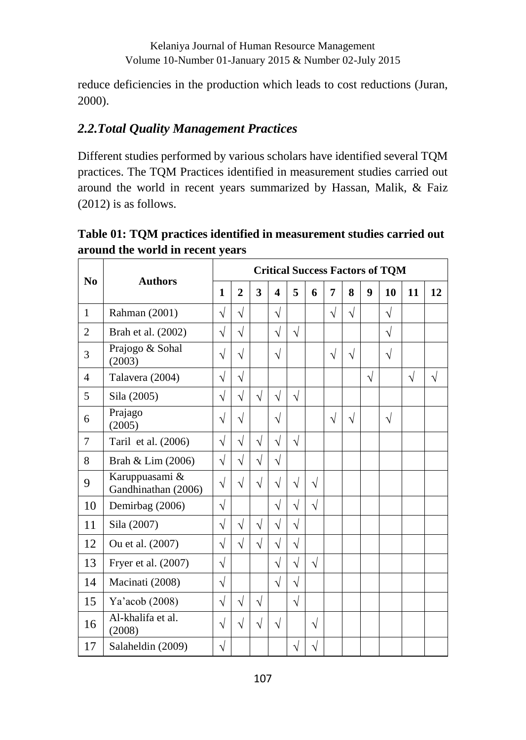reduce deficiencies in the production which leads to cost reductions (Juran, 2000).

### *2.2.Total Quality Management Practices*

Different studies performed by various scholars have identified several TQM practices. The TQM Practices identified in measurement studies carried out around the world in recent years summarized by Hassan, Malik, & Faiz (2012) is as follows.

**Table 01: TQM practices identified in measurement studies carried out around the world in recent years**

| $\bf N$ <sub>0</sub> | <b>Authors</b>                        |           | <b>Critical Success Factors of TQM</b> |            |                         |            |           |           |           |                  |            |           |            |
|----------------------|---------------------------------------|-----------|----------------------------------------|------------|-------------------------|------------|-----------|-----------|-----------|------------------|------------|-----------|------------|
|                      |                                       |           | $\overline{2}$                         | 3          | $\overline{\mathbf{4}}$ | 5          | 6         | 7         | 8         | $\boldsymbol{Q}$ | 10         | 11        | 12         |
| 1                    | Rahman (2001)                         | $\sqrt{}$ | $\sqrt{}$                              |            | $\sqrt{}$               |            |           | $\sqrt{}$ | $\sqrt{}$ |                  | $\sqrt{}$  |           |            |
| $\overline{2}$       | Brah et al. (2002)                    | $\sqrt{}$ | $\sqrt{}$                              |            | $\sqrt{}$               | $\sqrt{}$  |           |           |           |                  | $\sqrt{ }$ |           |            |
| 3                    | Prajogo & Sohal<br>(2003)             | $\sqrt{}$ | $\sqrt{}$                              |            | $\sqrt{}$               |            |           | $\sqrt{}$ | $\sqrt{}$ |                  | $\sqrt{ }$ |           |            |
| $\overline{4}$       | Talavera (2004)                       | $\sqrt{}$ | $\sqrt{}$                              |            |                         |            |           |           |           | $\sqrt{}$        |            | $\sqrt{}$ | $\sqrt{2}$ |
| 5                    | Sila (2005)                           | $\sqrt{}$ | $\sqrt{}$                              | $\sqrt{ }$ | $\sqrt{}$               | $\sqrt{ }$ |           |           |           |                  |            |           |            |
| 6                    | Prajago<br>(2005)                     | $\sqrt{}$ | $\sqrt{}$                              |            | $\sqrt{}$               |            |           | $\sqrt{}$ | $\sqrt{}$ |                  | $\sqrt{ }$ |           |            |
| 7                    | Taril et al. (2006)                   | $\sqrt{}$ | $\sqrt{}$                              | $\sqrt{}$  | $\sqrt{}$               | $\sqrt{}$  |           |           |           |                  |            |           |            |
| 8                    | Brah & Lim (2006)                     | $\sqrt{}$ | $\sqrt{}$                              | $\sqrt{}$  | $\sqrt{}$               |            |           |           |           |                  |            |           |            |
| 9                    | Karuppuasami &<br>Gandhinathan (2006) | $\sqrt{}$ | $\sqrt{}$                              | $\sqrt{}$  | $\sqrt{}$               | $\sqrt{}$  | $\sqrt{}$ |           |           |                  |            |           |            |
| 10                   | Demirbag (2006)                       | $\sqrt{}$ |                                        |            | $\sqrt{}$               | $\sqrt{}$  | $\sqrt{}$ |           |           |                  |            |           |            |
| 11                   | Sila (2007)                           | $\sqrt{}$ | $\sqrt{}$                              | $\sqrt{}$  | $\sqrt{}$               | $\sqrt{}$  |           |           |           |                  |            |           |            |
| 12                   | Ou et al. (2007)                      | $\sqrt{}$ | $\sqrt{}$                              | $\sqrt{}$  | $\sqrt{}$               | $\sqrt{}$  |           |           |           |                  |            |           |            |
| 13                   | Fryer et al. (2007)                   | $\sqrt{}$ |                                        |            | $\sqrt{}$               | $\sqrt{}$  | $\sqrt{}$ |           |           |                  |            |           |            |
| 14                   | Macinati (2008)                       | $\sqrt{}$ |                                        |            | $\sqrt{}$               | $\sqrt{}$  |           |           |           |                  |            |           |            |
| 15                   | Ya'acob (2008)                        | $\sqrt{}$ | $\sqrt{}$                              | $\sqrt{}$  |                         | $\sqrt{2}$ |           |           |           |                  |            |           |            |
| 16                   | Al-khalifa et al.<br>(2008)           | $\sqrt{}$ | $\sqrt{}$                              | $\sqrt{}$  | $\sqrt{}$               |            | $\sqrt{}$ |           |           |                  |            |           |            |
| 17                   | Salaheldin (2009)                     | V         |                                        |            |                         | V          | $\sqrt{}$ |           |           |                  |            |           |            |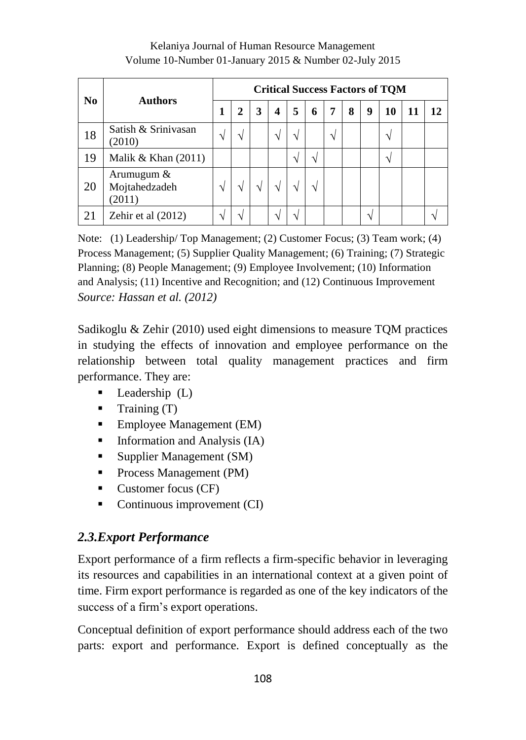| N <sub>0</sub> | <b>Authors</b>                        |  | <b>Critical Success Factors of TQM</b> |   |    |               |    |               |   |   |    |    |    |
|----------------|---------------------------------------|--|----------------------------------------|---|----|---------------|----|---------------|---|---|----|----|----|
|                |                                       |  |                                        | 3 | 4  | 5             | 6  | 7             | 8 | 9 | 10 | 11 | 12 |
| 18             | Satish & Srinivasan<br>(2010)         |  |                                        |   | V  |               |    | $\mathcal{N}$ |   |   | ٦  |    |    |
| 19             | Malik & Khan $(2011)$                 |  |                                        |   |    | $\mathcal{N}$ | اد |               |   |   | ٦  |    |    |
| 20             | Arumugum &<br>Mojtahedzadeh<br>(2011) |  |                                        |   | ٦Ι |               |    |               |   |   |    |    |    |
| 21             | Zehir et al (2012)                    |  |                                        |   | ٦  | ٦             |    |               |   |   |    |    |    |

Note: (1) Leadership/ Top Management; (2) Customer Focus; (3) Team work; (4) Process Management; (5) Supplier Quality Management; (6) Training; (7) Strategic Planning; (8) People Management; (9) Employee Involvement; (10) Information and Analysis; (11) Incentive and Recognition; and (12) Continuous Improvement *Source: Hassan et al. (2012)*

Sadikoglu & Zehir (2010) used eight dimensions to measure TQM practices in studying the effects of innovation and employee performance on the relationship between total quality management practices and firm performance. They are:

- $\blacksquare$  Leadership (L)
- $\blacksquare$  Training (T)
- Employee Management (EM)
- $\blacksquare$  Information and Analysis (IA)
- Supplier Management (SM)
- **Process Management (PM)**
- Customer focus (CF)
- $\blacksquare$  Continuous improvement (CI)

# *2.3.Export Performance*

Export performance of a firm reflects a firm-specific behavior in leveraging its resources and capabilities in an international context at a given point of time. Firm export performance is regarded as one of the key indicators of the success of a firm's export operations.

Conceptual definition of export performance should address each of the two parts: export and performance. Export is defined conceptually as the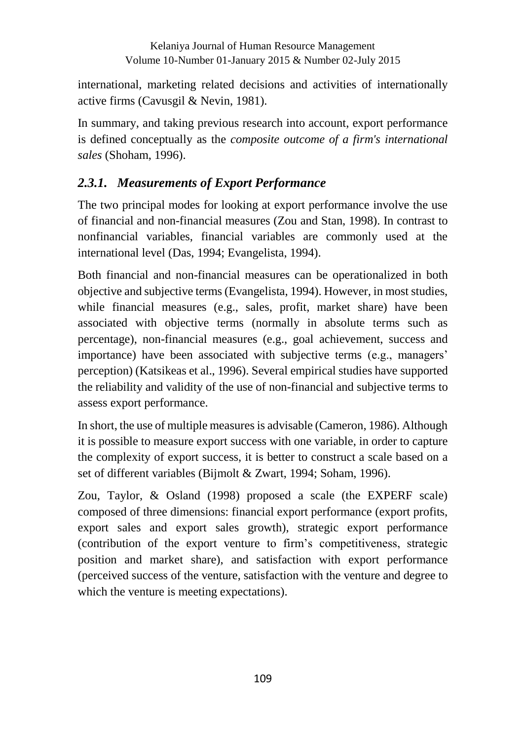international, marketing related decisions and activities of internationally active firms (Cavusgil & Nevin, 1981).

In summary, and taking previous research into account, export performance is defined conceptually as the *composite outcome of a firm's international sales* (Shoham, 1996).

# *2.3.1. Measurements of Export Performance*

The two principal modes for looking at export performance involve the use of financial and non-financial measures (Zou and Stan, 1998). In contrast to nonfinancial variables, financial variables are commonly used at the international level (Das, 1994; Evangelista, 1994).

Both financial and non-financial measures can be operationalized in both objective and subjective terms (Evangelista, 1994). However, in most studies, while financial measures (e.g., sales, profit, market share) have been associated with objective terms (normally in absolute terms such as percentage), non-financial measures (e.g., goal achievement, success and importance) have been associated with subjective terms (e.g., managers' perception) (Katsikeas et al., 1996). Several empirical studies have supported the reliability and validity of the use of non-financial and subjective terms to assess export performance.

In short, the use of multiple measures is advisable (Cameron, 1986). Although it is possible to measure export success with one variable, in order to capture the complexity of export success, it is better to construct a scale based on a set of different variables (Bijmolt & Zwart, 1994; Soham, 1996).

Zou, Taylor, & Osland (1998) proposed a scale (the EXPERF scale) composed of three dimensions: financial export performance (export profits, export sales and export sales growth), strategic export performance (contribution of the export venture to firm's competitiveness, strategic position and market share), and satisfaction with export performance (perceived success of the venture, satisfaction with the venture and degree to which the venture is meeting expectations).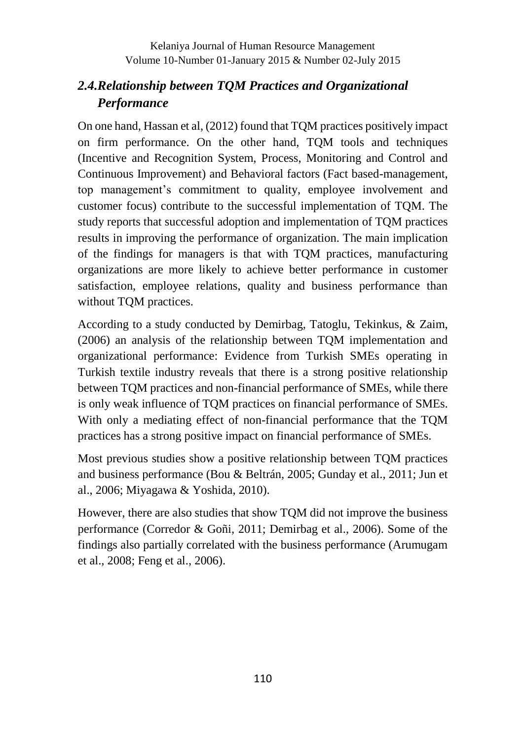### *2.4.Relationship between TQM Practices and Organizational Performance*

On one hand, Hassan et al, (2012) found that TQM practices positively impact on firm performance. On the other hand, TQM tools and techniques (Incentive and Recognition System, Process, Monitoring and Control and Continuous Improvement) and Behavioral factors (Fact based-management, top management's commitment to quality, employee involvement and customer focus) contribute to the successful implementation of TQM. The study reports that successful adoption and implementation of TQM practices results in improving the performance of organization. The main implication of the findings for managers is that with TQM practices, manufacturing organizations are more likely to achieve better performance in customer satisfaction, employee relations, quality and business performance than without TQM practices.

According to a study conducted by Demirbag, Tatoglu, Tekinkus, & Zaim, (2006) an analysis of the relationship between TQM implementation and organizational performance: Evidence from Turkish SMEs operating in Turkish textile industry reveals that there is a strong positive relationship between TQM practices and non-financial performance of SMEs, while there is only weak influence of TQM practices on financial performance of SMEs. With only a mediating effect of non-financial performance that the TQM practices has a strong positive impact on financial performance of SMEs.

Most previous studies show a positive relationship between TQM practices and business performance (Bou & Beltrán, 2005; Gunday et al., 2011; Jun et al., 2006; Miyagawa & Yoshida, 2010).

However, there are also studies that show TQM did not improve the business performance (Corredor & Goñi, 2011; Demirbag et al., 2006). Some of the findings also partially correlated with the business performance (Arumugam et al., 2008; Feng et al., 2006).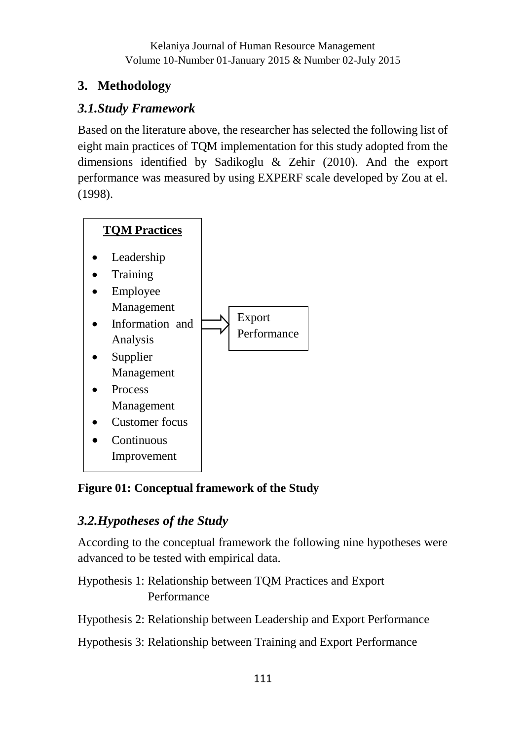# **3. Methodology**

# *3.1.Study Framework*

Based on the literature above, the researcher has selected the following list of eight main practices of TQM implementation for this study adopted from the dimensions identified by Sadikoglu & Zehir (2010). And the export performance was measured by using EXPERF scale developed by Zou at el. (1998).



# **Figure 01: Conceptual framework of the Study**

# *3.2.Hypotheses of the Study*

According to the conceptual framework the following nine hypotheses were advanced to be tested with empirical data.

Hypothesis 1: Relationship between TQM Practices and Export Performance

Hypothesis 2: Relationship between Leadership and Export Performance

Hypothesis 3: Relationship between Training and Export Performance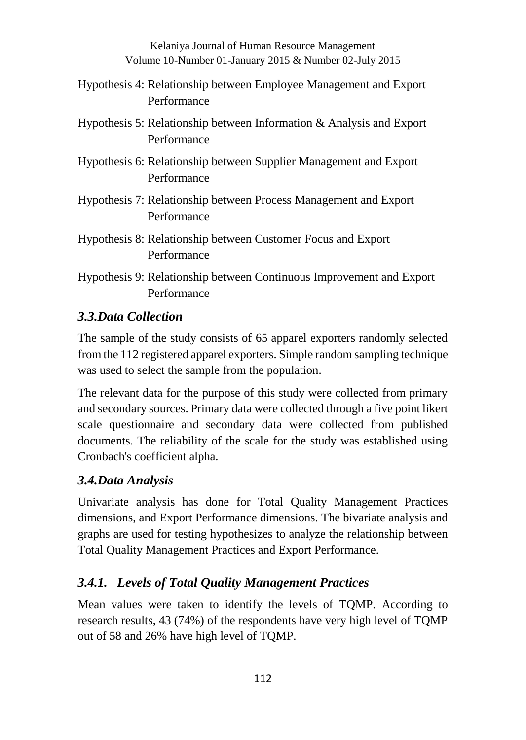- Hypothesis 4: Relationship between Employee Management and Export Performance
- Hypothesis 5: Relationship between Information & Analysis and Export Performance
- Hypothesis 6: Relationship between Supplier Management and Export Performance
- Hypothesis 7: Relationship between Process Management and Export Performance
- Hypothesis 8: Relationship between Customer Focus and Export Performance
- Hypothesis 9: Relationship between Continuous Improvement and Export Performance

## *3.3.Data Collection*

The sample of the study consists of 65 apparel exporters randomly selected from the 112 registered apparel exporters. Simple random sampling technique was used to select the sample from the population.

The relevant data for the purpose of this study were collected from primary and secondary sources. Primary data were collected through a five point likert scale questionnaire and secondary data were collected from published documents. The reliability of the scale for the study was established using Cronbach's coefficient alpha.

### *3.4.Data Analysis*

Univariate analysis has done for Total Quality Management Practices dimensions, and Export Performance dimensions. The bivariate analysis and graphs are used for testing hypothesizes to analyze the relationship between Total Quality Management Practices and Export Performance.

### *3.4.1. Levels of Total Quality Management Practices*

Mean values were taken to identify the levels of TQMP. According to research results, 43 (74%) of the respondents have very high level of TQMP out of 58 and 26% have high level of TQMP.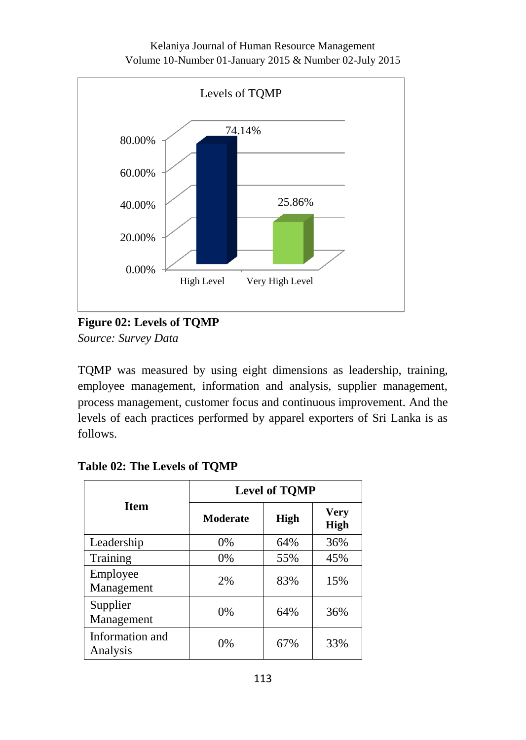

**Figure 02: Levels of TQMP** *Source: Survey Data* 

TQMP was measured by using eight dimensions as leadership, training, employee management, information and analysis, supplier management, process management, customer focus and continuous improvement. And the levels of each practices performed by apparel exporters of Sri Lanka is as follows.

|                             | <b>Level of TOMP</b> |      |                            |  |  |  |  |
|-----------------------------|----------------------|------|----------------------------|--|--|--|--|
| <b>Item</b>                 | <b>Moderate</b>      | High | <b>Very</b><br><b>High</b> |  |  |  |  |
| Leadership                  | $0\%$                | 64%  | 36%                        |  |  |  |  |
| Training                    | $0\%$                | 55%  | 45%                        |  |  |  |  |
| Employee<br>Management      | 2%                   | 83%  | 15%                        |  |  |  |  |
| Supplier<br>Management      | 0%                   | 64%  | 36%                        |  |  |  |  |
| Information and<br>Analysis | 0%                   | 67%  | 33%                        |  |  |  |  |

**Table 02: The Levels of TQMP**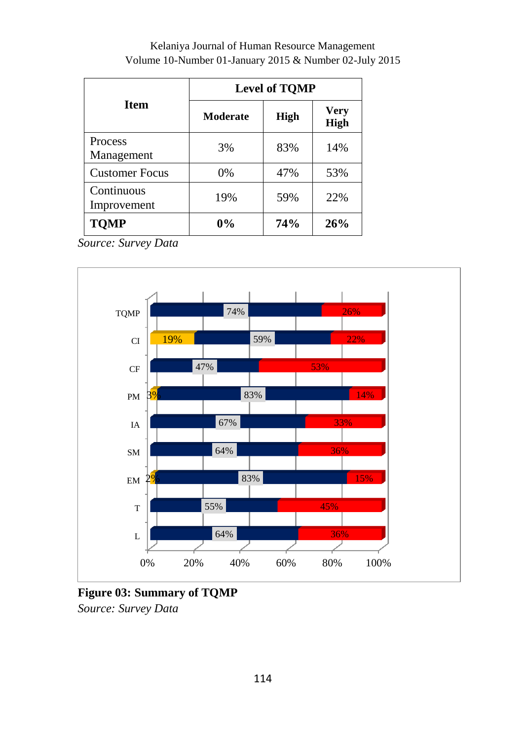|                              | <b>Level of TQMP</b> |      |                            |  |  |  |  |
|------------------------------|----------------------|------|----------------------------|--|--|--|--|
| <b>Item</b>                  | <b>Moderate</b>      | High | <b>Very</b><br><b>High</b> |  |  |  |  |
| <b>Process</b><br>Management | 3%                   | 83%  | 14%                        |  |  |  |  |
| <b>Customer Focus</b>        | 0%                   | 47%  | 53%                        |  |  |  |  |
| Continuous<br>Improvement    | 19%                  | 59%  | 22%                        |  |  |  |  |
| <b>TOMP</b>                  | $0\%$                | 74%  | 26%                        |  |  |  |  |

*Source: Survey Data* 



### **Figure 03: Summary of TQMP** *Source: Survey Data*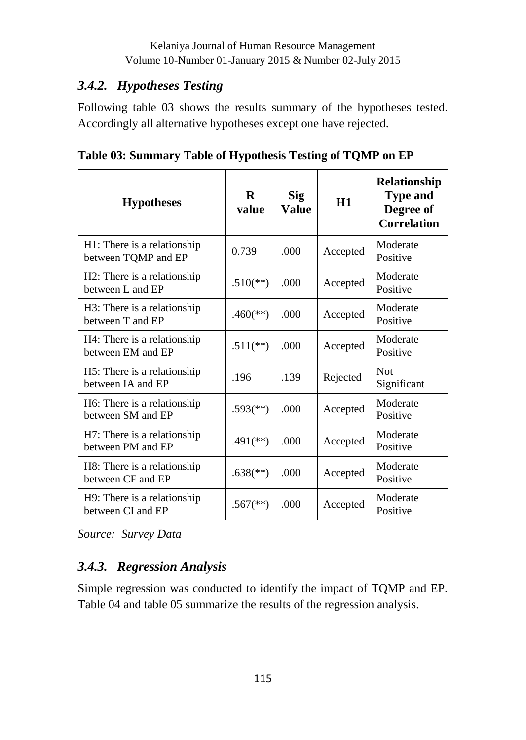### *3.4.2. Hypotheses Testing*

Following table 03 shows the results summary of the hypotheses tested. Accordingly all alternative hypotheses except one have rejected.

**Table 03: Summary Table of Hypothesis Testing of TQMP on EP**

| <b>Hypotheses</b>                                  | R<br>value               | <b>Sig</b><br>Value | H1       | Relationship<br><b>Type and</b><br>Degree of<br><b>Correlation</b> |
|----------------------------------------------------|--------------------------|---------------------|----------|--------------------------------------------------------------------|
| H1: There is a relationship<br>between TQMP and EP | 0.739                    | .000                | Accepted | Moderate<br>Positive                                               |
| H2: There is a relationship<br>between L and EP    | $.510^{**}$              | .000.               | Accepted | Moderate<br>Positive                                               |
| H3: There is a relationship<br>between T and EP    | $.460$ <sup>(**)</sup> ) | .000.               | Accepted | Moderate<br>Positive                                               |
| H4: There is a relationship<br>between EM and EP   | $.511$ <sup>(**)</sup>   | .000.               | Accepted | Moderate<br>Positive                                               |
| H5: There is a relationship<br>between IA and EP   | .196                     | .139                | Rejected | Not<br>Significant                                                 |
| H6: There is a relationship<br>between SM and EP   | $.593$ <sup>(**)</sup> ) | .000.               | Accepted | Moderate<br>Positive                                               |
| H7: There is a relationship<br>between PM and EP   | $.491$ <sup>(**)</sup> ) | .000.               | Accepted | Moderate<br>Positive                                               |
| H8: There is a relationship<br>between CF and EP   | $.638$ <sup>(**)</sup> ) | .000                | Accepted | Moderate<br>Positive                                               |
| H9: There is a relationship<br>between CI and EP   | $.567$ <sup>(**)</sup> ) | .000                | Accepted | Moderate<br>Positive                                               |

*Source: Survey Data* 

# *3.4.3. Regression Analysis*

Simple regression was conducted to identify the impact of TQMP and EP. Table 04 and table 05 summarize the results of the regression analysis.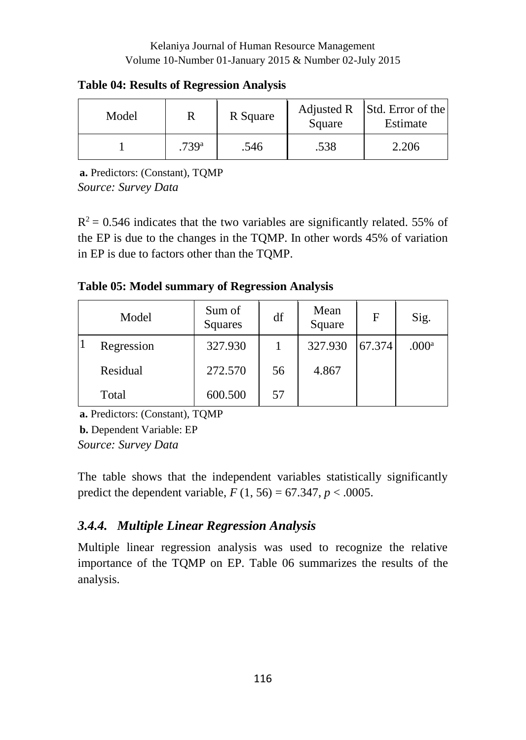**Table 04: Results of Regression Analysis**

| Model |                   | R Square | Adjusted R<br>Square | Std. Error of the<br>Estimate |  |
|-------|-------------------|----------|----------------------|-------------------------------|--|
|       | .739 <sup>a</sup> | .546     | .538                 | 2.206                         |  |

**a.** Predictors: (Constant), TQMP *Source: Survey Data*

 $R<sup>2</sup> = 0.546$  indicates that the two variables are significantly related. 55% of the EP is due to the changes in the TQMP. In other words 45% of variation in EP is due to factors other than the TQMP.

### **Table 05: Model summary of Regression Analysis**

|     | Model      | Sum of<br>Squares | df | Mean<br>Square | $\mathbf F$ | Sig.              |
|-----|------------|-------------------|----|----------------|-------------|-------------------|
| l 1 | Regression | 327.930           |    | 327.930        | 67.374      | .000 <sup>a</sup> |
|     | Residual   | 272.570           | 56 | 4.867          |             |                   |
|     | Total      | 600.500           | 57 |                |             |                   |

**a.** Predictors: (Constant), TQMP

**b.** Dependent Variable: EP

*Source: Survey Data* 

The table shows that the independent variables statistically significantly predict the dependent variable,  $F(1, 56) = 67.347$ ,  $p < .0005$ .

# *3.4.4. Multiple Linear Regression Analysis*

Multiple linear regression analysis was used to recognize the relative importance of the TQMP on EP. Table 06 summarizes the results of the analysis.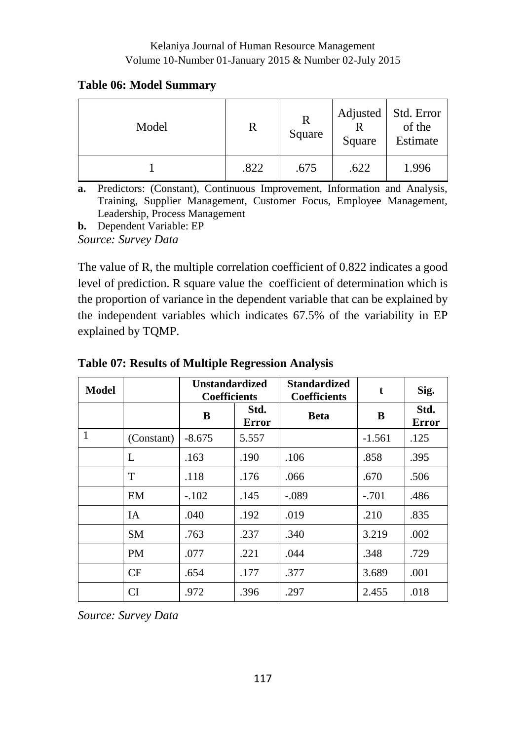#### **Table 06: Model Summary**

| Model | R    | R<br>Square | Adjusted<br>Square | Std. Error<br>of the<br>Estimate |
|-------|------|-------------|--------------------|----------------------------------|
|       | .822 | .675        | .622               | 1.996                            |

**a.** Predictors: (Constant), Continuous Improvement, Information and Analysis, Training, Supplier Management, Customer Focus, Employee Management, Leadership, Process Management

**b.** Dependent Variable: EP

*Source: Survey Data* 

The value of R, the multiple correlation coefficient of 0.822 indicates a good level of prediction. R square value the coefficient of determination which is the proportion of variance in the dependent variable that can be explained by the independent variables which indicates 67.5% of the variability in EP explained by TQMP.

| Model        |            | <b>Unstandardized</b><br><b>Coefficients</b> |               | <b>Standardized</b><br><b>Coefficients</b> | t        | Sig.                 |
|--------------|------------|----------------------------------------------|---------------|--------------------------------------------|----------|----------------------|
|              |            | B                                            | Std.<br>Error | Beta                                       | B        | Std.<br><b>Error</b> |
| $\mathbf{1}$ | (Constant) | $-8.675$                                     | 5.557         |                                            | $-1.561$ | .125                 |
|              | L          | .163                                         | .190          | .106                                       | .858     | .395                 |
|              | T          | .118                                         | .176          | .066                                       | .670     | .506                 |
|              | EM         | $-.102$                                      | .145          | $-.089$                                    | $-.701$  | .486                 |
|              | <b>IA</b>  | .040                                         | .192          | .019                                       | .210     | .835                 |
|              | <b>SM</b>  | .763                                         | .237          | .340                                       | 3.219    | .002                 |
|              | <b>PM</b>  | .077                                         | .221          | .044                                       | .348     | .729                 |
|              | CF         | .654                                         | .177          | .377                                       | 3.689    | .001                 |
|              | CI         | .972                                         | .396          | .297                                       | 2.455    | .018                 |

**Table 07: Results of Multiple Regression Analysis**

*Source: Survey Data*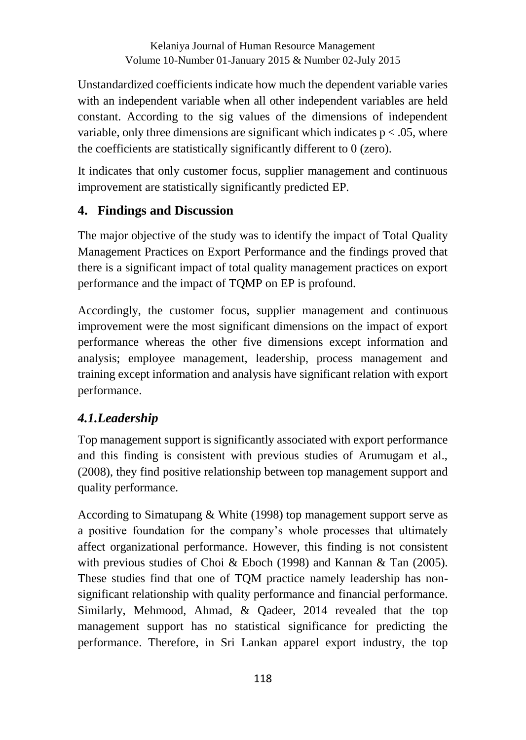Unstandardized coefficients indicate how much the dependent variable varies with an independent variable when all other independent variables are held constant. According to the sig values of the dimensions of independent variable, only three dimensions are significant which indicates  $p < .05$ , where the coefficients are statistically significantly different to 0 (zero).

It indicates that only customer focus, supplier management and continuous improvement are statistically significantly predicted EP.

#### **4. Findings and Discussion**

The major objective of the study was to identify the impact of Total Quality Management Practices on Export Performance and the findings proved that there is a significant impact of total quality management practices on export performance and the impact of TQMP on EP is profound.

Accordingly, the customer focus, supplier management and continuous improvement were the most significant dimensions on the impact of export performance whereas the other five dimensions except information and analysis; employee management, leadership, process management and training except information and analysis have significant relation with export performance.

#### *4.1.Leadership*

Top management support is significantly associated with export performance and this finding is consistent with previous studies of Arumugam et al., (2008), they find positive relationship between top management support and quality performance.

According to Simatupang & White (1998) top management support serve as a positive foundation for the company's whole processes that ultimately affect organizational performance. However, this finding is not consistent with previous studies of Choi & Eboch (1998) and Kannan & Tan (2005). These studies find that one of TQM practice namely leadership has nonsignificant relationship with quality performance and financial performance. Similarly, Mehmood, Ahmad, & Qadeer, 2014 revealed that the top management support has no statistical significance for predicting the performance. Therefore, in Sri Lankan apparel export industry, the top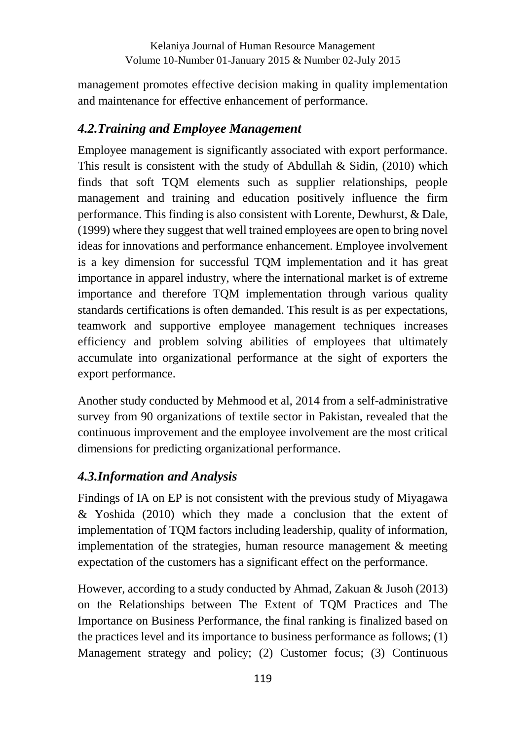management promotes effective decision making in quality implementation and maintenance for effective enhancement of performance.

## *4.2.Training and Employee Management*

Employee management is significantly associated with export performance. This result is consistent with the study of Abdullah  $\&$  Sidin, (2010) which finds that soft TQM elements such as supplier relationships, people management and training and education positively influence the firm performance. This finding is also consistent with Lorente, Dewhurst, & Dale, (1999) where they suggest that well trained employees are open to bring novel ideas for innovations and performance enhancement. Employee involvement is a key dimension for successful TQM implementation and it has great importance in apparel industry, where the international market is of extreme importance and therefore TQM implementation through various quality standards certifications is often demanded. This result is as per expectations, teamwork and supportive employee management techniques increases efficiency and problem solving abilities of employees that ultimately accumulate into organizational performance at the sight of exporters the export performance.

Another study conducted by Mehmood et al, 2014 from a self-administrative survey from 90 organizations of textile sector in Pakistan, revealed that the continuous improvement and the employee involvement are the most critical dimensions for predicting organizational performance.

# *4.3.Information and Analysis*

Findings of IA on EP is not consistent with the previous study of Miyagawa & Yoshida (2010) which they made a conclusion that the extent of implementation of TQM factors including leadership, quality of information, implementation of the strategies, human resource management & meeting expectation of the customers has a significant effect on the performance.

However, according to a study conducted by Ahmad, Zakuan & Jusoh (2013) on the Relationships between The Extent of TQM Practices and The Importance on Business Performance, the final ranking is finalized based on the practices level and its importance to business performance as follows; (1) Management strategy and policy; (2) Customer focus; (3) Continuous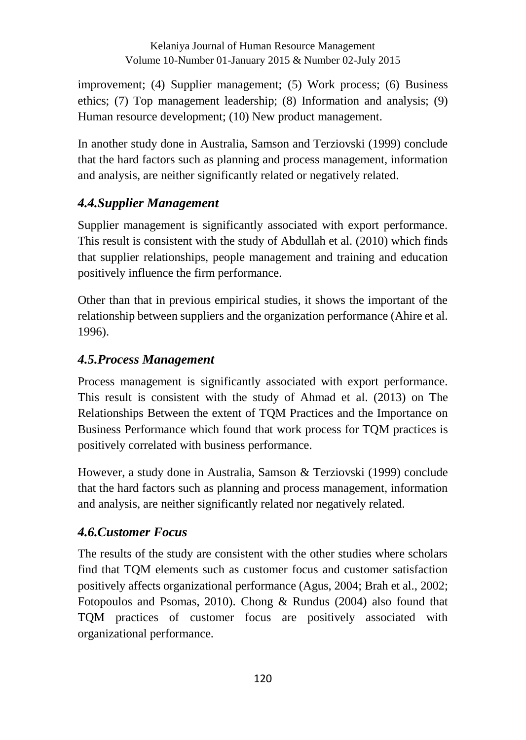improvement; (4) Supplier management; (5) Work process; (6) Business ethics; (7) Top management leadership; (8) Information and analysis; (9) Human resource development; (10) New product management.

In another study done in Australia, Samson and Terziovski (1999) conclude that the hard factors such as planning and process management, information and analysis, are neither significantly related or negatively related.

### *4.4.Supplier Management*

Supplier management is significantly associated with export performance. This result is consistent with the study of Abdullah et al. (2010) which finds that supplier relationships, people management and training and education positively influence the firm performance.

Other than that in previous empirical studies, it shows the important of the relationship between suppliers and the organization performance (Ahire et al. 1996).

#### *4.5.Process Management*

Process management is significantly associated with export performance. This result is consistent with the study of Ahmad et al. (2013) on The Relationships Between the extent of TQM Practices and the Importance on Business Performance which found that work process for TQM practices is positively correlated with business performance.

However, a study done in Australia, Samson & Terziovski (1999) conclude that the hard factors such as planning and process management, information and analysis, are neither significantly related nor negatively related.

#### *4.6.Customer Focus*

The results of the study are consistent with the other studies where scholars find that TQM elements such as customer focus and customer satisfaction positively affects organizational performance (Agus, 2004; Brah et al., 2002; Fotopoulos and Psomas, 2010). Chong & Rundus (2004) also found that TQM practices of customer focus are positively associated with organizational performance.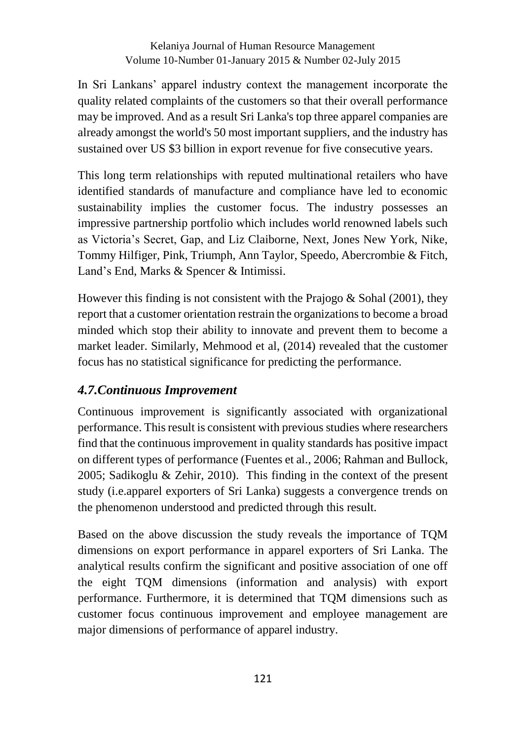In Sri Lankans' apparel industry context the management incorporate the quality related complaints of the customers so that their overall performance may be improved. And as a result Sri Lanka's top three apparel companies are already amongst the world's 50 most important suppliers, and the industry has sustained over US \$3 billion in export revenue for five consecutive years.

This long term relationships with reputed multinational retailers who have identified standards of manufacture and compliance have led to economic sustainability implies the customer focus. The industry possesses an impressive partnership portfolio which includes world renowned labels such as Victoria's Secret, Gap, and Liz Claiborne, Next, Jones New York, Nike, Tommy Hilfiger, Pink, Triumph, Ann Taylor, Speedo, Abercrombie & Fitch, Land's End, Marks & Spencer & Intimissi.

However this finding is not consistent with the Prajogo  $\&$  Sohal (2001), they report that a customer orientation restrain the organizations to become a broad minded which stop their ability to innovate and prevent them to become a market leader. Similarly, Mehmood et al, (2014) revealed that the customer focus has no statistical significance for predicting the performance.

### *4.7.Continuous Improvement*

Continuous improvement is significantly associated with organizational performance. This result is consistent with previous studies where researchers find that the continuous improvement in quality standards has positive impact on different types of performance (Fuentes et al., 2006; Rahman and Bullock, 2005; Sadikoglu & Zehir, 2010). This finding in the context of the present study (i.e.apparel exporters of Sri Lanka) suggests a convergence trends on the phenomenon understood and predicted through this result.

Based on the above discussion the study reveals the importance of TQM dimensions on export performance in apparel exporters of Sri Lanka. The analytical results confirm the significant and positive association of one off the eight TQM dimensions (information and analysis) with export performance. Furthermore, it is determined that TQM dimensions such as customer focus continuous improvement and employee management are major dimensions of performance of apparel industry.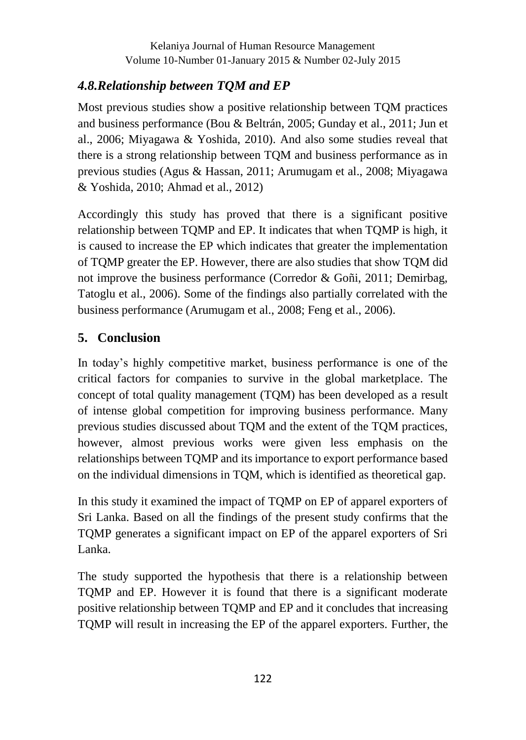# *4.8.Relationship between TQM and EP*

Most previous studies show a positive relationship between TQM practices and business performance (Bou & Beltrán, 2005; Gunday et al., 2011; Jun et al., 2006; Miyagawa & Yoshida, 2010). And also some studies reveal that there is a strong relationship between TQM and business performance as in previous studies (Agus & Hassan, 2011; Arumugam et al., 2008; Miyagawa & Yoshida, 2010; Ahmad et al., 2012)

Accordingly this study has proved that there is a significant positive relationship between TQMP and EP. It indicates that when TQMP is high, it is caused to increase the EP which indicates that greater the implementation of TQMP greater the EP. However, there are also studies that show TQM did not improve the business performance (Corredor & Goñi, 2011; Demirbag, Tatoglu et al., 2006). Some of the findings also partially correlated with the business performance (Arumugam et al., 2008; Feng et al., 2006).

# **5. Conclusion**

In today's highly competitive market, business performance is one of the critical factors for companies to survive in the global marketplace. The concept of total quality management (TQM) has been developed as a result of intense global competition for improving business performance. Many previous studies discussed about TQM and the extent of the TQM practices, however, almost previous works were given less emphasis on the relationships between TQMP and its importance to export performance based on the individual dimensions in TQM, which is identified as theoretical gap.

In this study it examined the impact of TQMP on EP of apparel exporters of Sri Lanka. Based on all the findings of the present study confirms that the TQMP generates a significant impact on EP of the apparel exporters of Sri Lanka.

The study supported the hypothesis that there is a relationship between TQMP and EP. However it is found that there is a significant moderate positive relationship between TQMP and EP and it concludes that increasing TQMP will result in increasing the EP of the apparel exporters. Further, the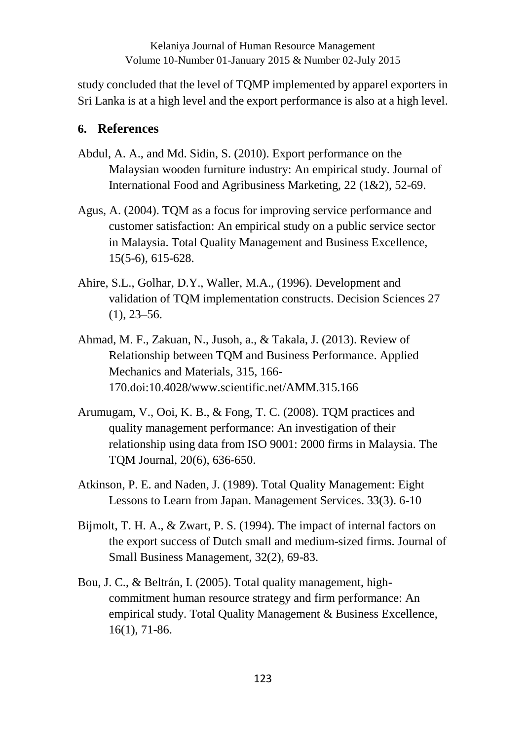study concluded that the level of TQMP implemented by apparel exporters in Sri Lanka is at a high level and the export performance is also at a high level.

#### **6. References**

- Abdul, A. A., and Md. Sidin, S. (2010). Export performance on the Malaysian wooden furniture industry: An empirical study. Journal of International Food and Agribusiness Marketing, 22 (1&2), 52-69.
- Agus, A. (2004). TQM as a focus for improving service performance and customer satisfaction: An empirical study on a public service sector in Malaysia. Total Quality Management and Business Excellence, 15(5-6), 615-628.
- Ahire, S.L., Golhar, D.Y., Waller, M.A., (1996). Development and validation of TQM implementation constructs. Decision Sciences 27  $(1), 23-56.$
- Ahmad, M. F., Zakuan, N., Jusoh, a., & Takala, J. (2013). Review of Relationship between TQM and Business Performance. Applied Mechanics and Materials, 315, 166- 170.doi:10.4028/www.scientific.net/AMM.315.166
- Arumugam, V., Ooi, K. B., & Fong, T. C. (2008). TQM practices and quality management performance: An investigation of their relationship using data from ISO 9001: 2000 firms in Malaysia. The TQM Journal, 20(6), 636-650.
- Atkinson, P. E. and Naden, J. (1989). Total Quality Management: Eight Lessons to Learn from Japan. Management Services. 33(3). 6-10
- Bijmolt, T. H. A., & Zwart, P. S. (1994). The impact of internal factors on the export success of Dutch small and medium-sized firms. Journal of Small Business Management, 32(2), 69-83.
- Bou, J. C., & Beltrán, I. (2005). Total quality management, highcommitment human resource strategy and firm performance: An empirical study. Total Quality Management & Business Excellence, 16(1), 71-86.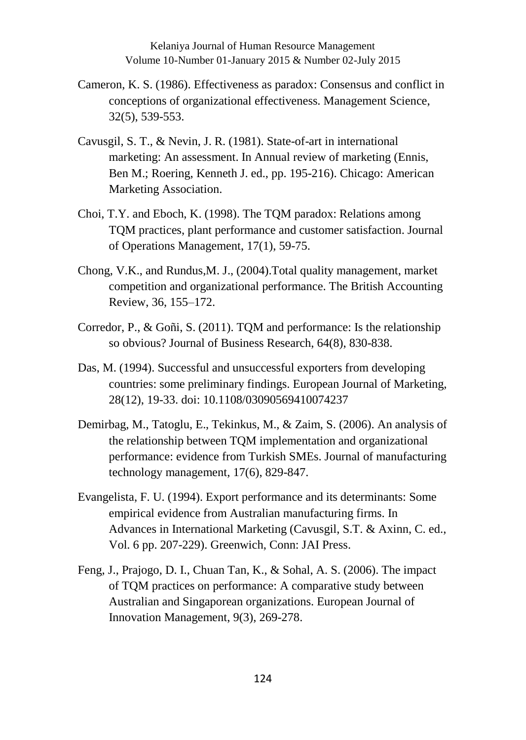- Cameron, K. S. (1986). Effectiveness as paradox: Consensus and conflict in conceptions of organizational effectiveness. Management Science, 32(5), 539-553.
- Cavusgil, S. T., & Nevin, J. R. (1981). State-of-art in international marketing: An assessment. In Annual review of marketing (Ennis, Ben M.; Roering, Kenneth J. ed., pp. 195-216). Chicago: American Marketing Association.
- Choi, T.Y. and Eboch, K. (1998). The TQM paradox: Relations among TQM practices, plant performance and customer satisfaction. Journal of Operations Management, 17(1), 59-75.
- Chong, V.K., and Rundus,M. J., (2004).Total quality management, market competition and organizational performance. The British Accounting Review, 36, 155–172.
- Corredor, P., & Goñi, S. (2011). TQM and performance: Is the relationship so obvious? Journal of Business Research, 64(8), 830-838.
- Das, M. (1994). Successful and unsuccessful exporters from developing countries: some preliminary findings. European Journal of Marketing, 28(12), 19-33. doi: 10.1108/03090569410074237
- Demirbag, M., Tatoglu, E., Tekinkus, M., & Zaim, S. (2006). An analysis of the relationship between TQM implementation and organizational performance: evidence from Turkish SMEs. Journal of manufacturing technology management, 17(6), 829-847.
- Evangelista, F. U. (1994). Export performance and its determinants: Some empirical evidence from Australian manufacturing firms. In Advances in International Marketing (Cavusgil, S.T. & Axinn, C. ed., Vol. 6 pp. 207-229). Greenwich, Conn: JAI Press.
- Feng, J., Prajogo, D. I., Chuan Tan, K., & Sohal, A. S. (2006). The impact of TQM practices on performance: A comparative study between Australian and Singaporean organizations. European Journal of Innovation Management, 9(3), 269-278.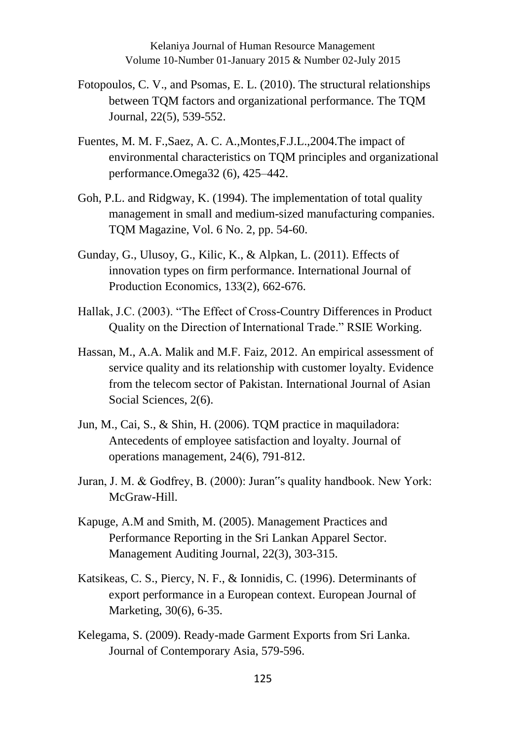- Fotopoulos, C. V., and Psomas, E. L. (2010). The structural relationships between TQM factors and organizational performance. The TQM Journal, 22(5), 539-552.
- Fuentes, M. M. F.,Saez, A. C. A.,Montes,F.J.L.,2004.The impact of environmental characteristics on TQM principles and organizational performance.Omega32 (6), 425–442.
- Goh, P.L. and Ridgway, K. (1994). The implementation of total quality management in small and medium-sized manufacturing companies. TQM Magazine, Vol. 6 No. 2, pp. 54-60.
- Gunday, G., Ulusoy, G., Kilic, K., & Alpkan, L. (2011). Effects of innovation types on firm performance. International Journal of Production Economics, 133(2), 662-676.
- Hallak, J.C. (2003). "The Effect of Cross-Country Differences in Product Quality on the Direction of International Trade." RSIE Working.
- Hassan, M., A.A. Malik and M.F. Faiz, 2012. An empirical assessment of service quality and its relationship with customer loyalty. Evidence from the telecom sector of Pakistan. International Journal of Asian Social Sciences, 2(6).
- Jun, M., Cai, S., & Shin, H. (2006). TQM practice in maquiladora: Antecedents of employee satisfaction and loyalty. Journal of operations management, 24(6), 791-812.
- Juran, J. M. & Godfrey, B. (2000): Juran"s quality handbook. New York: McGraw-Hill.
- Kapuge, A.M and Smith, M. (2005). Management Practices and Performance Reporting in the Sri Lankan Apparel Sector. Management Auditing Journal, 22(3), 303-315.
- Katsikeas, C. S., Piercy, N. F., & Ionnidis, C. (1996). Determinants of export performance in a European context. European Journal of Marketing, 30(6), 6-35.
- Kelegama, S. (2009). Ready-made Garment Exports from Sri Lanka. Journal of Contemporary Asia, 579-596.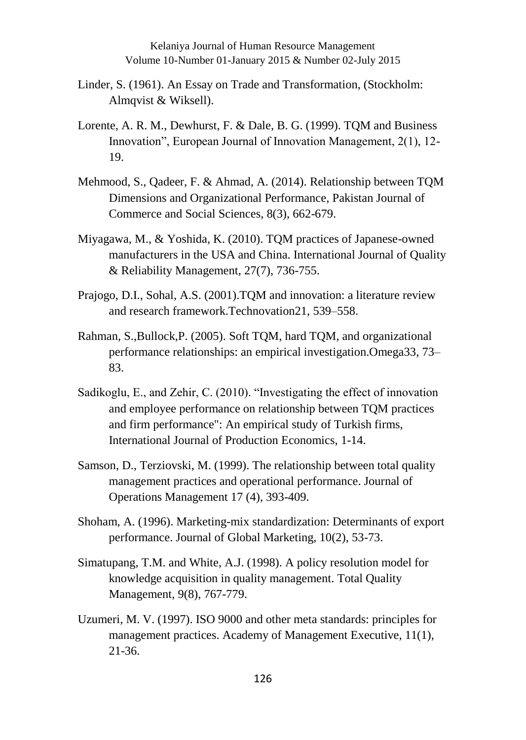- Linder, S. (1961). An Essay on Trade and Transformation, (Stockholm: Almqvist & Wiksell).
- Lorente, A. R. M., Dewhurst, F. & Dale, B. G. (1999). TQM and Business Innovation", European Journal of Innovation Management, 2(1), 12- 19.
- Mehmood, S., Qadeer, F. & Ahmad, A. (2014). Relationship between TQM Dimensions and Organizational Performance, Pakistan Journal of Commerce and Social Sciences, 8(3), 662-679.
- Miyagawa, M., & Yoshida, K. (2010). TQM practices of Japanese-owned manufacturers in the USA and China. International Journal of Quality & Reliability Management, 27(7), 736-755.
- Prajogo, D.I., Sohal, A.S. (2001).TQM and innovation: a literature review and research framework.Technovation21, 539–558.
- Rahman, S.,Bullock,P. (2005). Soft TQM, hard TQM, and organizational performance relationships: an empirical investigation.Omega33, 73– 83.
- Sadikoglu, E., and Zehir, C. (2010). "Investigating the effect of innovation and employee performance on relationship between TQM practices and firm performance": An empirical study of Turkish firms, International Journal of Production Economics, 1-14.
- Samson, D., Terziovski, M. (1999). The relationship between total quality management practices and operational performance. Journal of Operations Management 17 (4), 393-409.
- Shoham, A. (1996). Marketing-mix standardization: Determinants of export performance. Journal of Global Marketing, 10(2), 53-73.
- Simatupang, T.M. and White, A.J. (1998). A policy resolution model for knowledge acquisition in quality management. Total Quality Management, 9(8), 767-779.
- Uzumeri, M. V. (1997). ISO 9000 and other meta standards: principles for management practices. Academy of Management Executive, 11(1), 21-36.